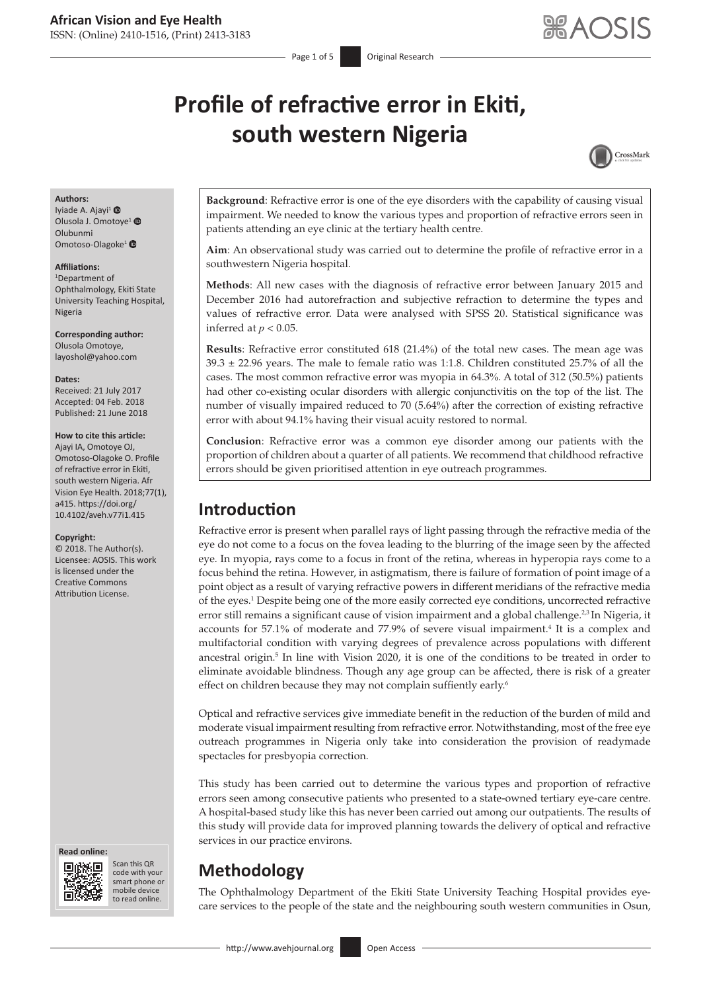# **Profile of refractive error in Ekiti, south western Nigeria**



#### **Authors:**

Iyiade A. Ajayi<sup>[1](http://orcid.org/0000-0003-3295-2471)</sup> @ Olusola J. Omotoye<sup>1</sup> Olubunmi Omotoso-Olagoke<sup>1</sup>

#### **Affiliations:**

1 Department of Ophthalmology, Ekiti State University Teaching Hospital, Nigeria

**Corresponding author:** Olusola Omotoye, [layoshol@yahoo.com](mailto:layoshol@yahoo.com)

#### **Dates:**

Received: 21 July 2017 Accepted: 04 Feb. 2018 Published: 21 June 2018

#### **How to cite this article:**

Ajayi IA, Omotoye OJ, Omotoso-Olagoke O. Profile of refractive error in Ekiti, south western Nigeria. Afr Vision Eye Health. 2018;77(1), a415. [https://doi.org/](https://doi.org/10.4102/aveh.v77i1.415) [10.4102/aveh.v77i1.415](https://doi.org/10.4102/aveh.v77i1.415)

#### **Copyright:**

© 2018. The Author(s). Licensee: AOSIS. This work is licensed under the Creative Commons Attribution License.

#### **Read online: Read**



Scan this QR code with your Scan this QR<br>code with your<br>smart phone or<br>mobile device mobile device to read online. to read online.

**Background**: Refractive error is one of the eye disorders with the capability of causing visual impairment. We needed to know the various types and proportion of refractive errors seen in patients attending an eye clinic at the tertiary health centre.

**Aim**: An observational study was carried out to determine the profile of refractive error in a southwestern Nigeria hospital.

**Methods**: All new cases with the diagnosis of refractive error between January 2015 and December 2016 had autorefraction and subjective refraction to determine the types and values of refractive error. Data were analysed with SPSS 20. Statistical significance was inferred at  $p < 0.05$ .

**Results**: Refractive error constituted 618 (21.4%) of the total new cases. The mean age was  $39.3 \pm 22.96$  years. The male to female ratio was 1:1.8. Children constituted 25.7% of all the cases. The most common refractive error was myopia in 64.3%. A total of 312 (50.5%) patients had other co-existing ocular disorders with allergic conjunctivitis on the top of the list. The number of visually impaired reduced to 70 (5.64%) after the correction of existing refractive error with about 94.1% having their visual acuity restored to normal.

**Conclusion**: Refractive error was a common eye disorder among our patients with the proportion of children about a quarter of all patients. We recommend that childhood refractive errors should be given prioritised attention in eye outreach programmes.

# **Introduction**

Refractive error is present when parallel rays of light passing through the refractive media of the eye do not come to a focus on the fovea leading to the blurring of the image seen by the affected eye. In myopia, rays come to a focus in front of the retina, whereas in hyperopia rays come to a focus behind the retina. However, in astigmatism, there is failure of formation of point image of a point object as a result of varying refractive powers in different meridians of the refractive media of the eyes.1 Despite being one of the more easily corrected eye conditions, uncorrected refractive error still remains a significant cause of vision impairment and a global challenge.<sup>2,3</sup> In Nigeria, it accounts for 57.1% of moderate and 77.9% of severe visual impairment.<sup>4</sup> It is a complex and multifactorial condition with varying degrees of prevalence across populations with different ancestral origin.5 In line with Vision 2020, it is one of the conditions to be treated in order to eliminate avoidable blindness. Though any age group can be affected, there is risk of a greater effect on children because they may not complain suffiently early.<sup>6</sup>

Optical and refractive services give immediate benefit in the reduction of the burden of mild and moderate visual impairment resulting from refractive error. Notwithstanding, most of the free eye outreach programmes in Nigeria only take into consideration the provision of readymade spectacles for presbyopia correction.

This study has been carried out to determine the various types and proportion of refractive errors seen among consecutive patients who presented to a state-owned tertiary eye-care centre. A hospital-based study like this has never been carried out among our outpatients. The results of this study will provide data for improved planning towards the delivery of optical and refractive services in our practice environs.

# **Methodology**

The Ophthalmology Department of the Ekiti State University Teaching Hospital provides eyecare services to the people of the state and the neighbouring south western communities in Osun,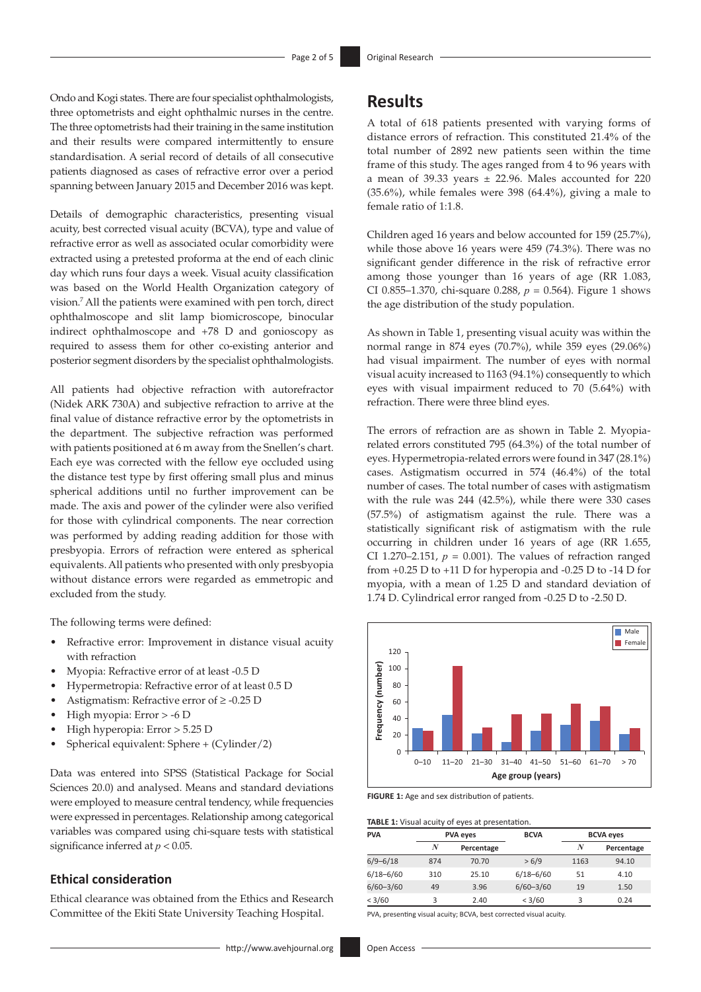Ondo and Kogi states. There are four specialist ophthalmologists, three optometrists and eight ophthalmic nurses in the centre. The three optometrists had their training in the same institution and their results were compared intermittently to ensure standardisation. A serial record of details of all consecutive patients diagnosed as cases of refractive error over a period spanning between January 2015 and December 2016 was kept.

Details of demographic characteristics, presenting visual acuity, best corrected visual acuity (BCVA), type and value of refractive error as well as associated ocular comorbidity were extracted using a pretested proforma at the end of each clinic day which runs four days a week. Visual acuity classification was based on the World Health Organization category of vision.7 All the patients were examined with pen torch, direct ophthalmoscope and slit lamp biomicroscope, binocular indirect ophthalmoscope and +78 D and gonioscopy as required to assess them for other co-existing anterior and posterior segment disorders by the specialist ophthalmologists.

All patients had objective refraction with autorefractor (Nidek ARK 730A) and subjective refraction to arrive at the final value of distance refractive error by the optometrists in the department. The subjective refraction was performed with patients positioned at 6 m away from the Snellen's chart. Each eye was corrected with the fellow eye occluded using the distance test type by first offering small plus and minus spherical additions until no further improvement can be made. The axis and power of the cylinder were also verified for those with cylindrical components. The near correction was performed by adding reading addition for those with presbyopia. Errors of refraction were entered as spherical equivalents. All patients who presented with only presbyopia without distance errors were regarded as emmetropic and excluded from the study.

The following terms were defined:

- • Refractive error: Improvement in distance visual acuity with refraction
- Myopia: Refractive error of at least -0.5 D
- Hypermetropia: Refractive error of at least 0.5 D
- Astigmatism: Refractive error of  $\geq$  -0.25 D
- High myopia: Error > -6 D
- High hyperopia: Error > 5.25 D
- Spherical equivalent: Sphere  $+$  (Cylinder/2)

Data was entered into SPSS (Statistical Package for Social Sciences 20.0) and analysed. Means and standard deviations were employed to measure central tendency, while frequencies were expressed in percentages. Relationship among categorical variables was compared using chi-square tests with statistical significance inferred at *p* < 0.05.

### **Ethical consideration**

Ethical clearance was obtained from the Ethics and Research Committee of the Ekiti State University Teaching Hospital.

## **Results**

A total of 618 patients presented with varying forms of distance errors of refraction. This constituted 21.4% of the total number of 2892 new patients seen within the time frame of this study. The ages ranged from 4 to 96 years with a mean of 39.33 years  $\pm$  22.96. Males accounted for 220 (35.6%), while females were 398 (64.4%), giving a male to female ratio of 1:1.8.

Children aged 16 years and below accounted for 159 (25.7%), while those above 16 years were 459 (74.3%). There was no significant gender difference in the risk of refractive error among those younger than 16 years of age (RR 1.083, CI 0.855–1.370, chi-square 0.288, *p* = 0.564). Figure 1 shows the age distribution of the study population.

As shown in Table 1, presenting visual acuity was within the normal range in 874 eyes (70.7%), while 359 eyes (29.06%) had visual impairment. The number of eyes with normal visual acuity increased to 1163 (94.1%) consequently to which eyes with visual impairment reduced to 70 (5.64%) with refraction. There were three blind eyes.

The errors of refraction are as shown in Table 2. Myopiarelated errors constituted 795 (64.3%) of the total number of eyes. Hypermetropia-related errors were found in 347 (28.1%) cases. Astigmatism occurred in 574 (46.4%) of the total number of cases. The total number of cases with astigmatism with the rule was 244 (42.5%), while there were 330 cases (57.5%) of astigmatism against the rule. There was a statistically significant risk of astigmatism with the rule occurring in children under 16 years of age (RR 1.655, CI 1.270–2.151,  $p = 0.001$ ). The values of refraction ranged from +0.25 D to +11 D for hyperopia and -0.25 D to -14 D for myopia, with a mean of 1.25 D and standard deviation of 1.74 D. Cylindrical error ranged from -0.25 D to -2.50 D.



**FIGURE 1:** Age and sex distribution of patients.

**TABLE 1:** Visual acuity of eyes at presentation.

| <b>PVA</b>    |     | <b>PVA eyes</b> | <b>BCVA</b>   | <b>BCVA eyes</b> |            |
|---------------|-----|-----------------|---------------|------------------|------------|
|               | N   | Percentage      |               | N                | Percentage |
| $6/9 - 6/18$  | 874 | 70.70           | > 6/9         | 1163             | 94.10      |
| $6/18 - 6/60$ | 310 | 25.10           | $6/18 - 6/60$ | 51               | 4.10       |
| $6/60 - 3/60$ | 49  | 3.96            | $6/60 - 3/60$ | 19               | 1.50       |
| < 3/60        | 3   | 2.40            | < 3/60        | 3                | 0.24       |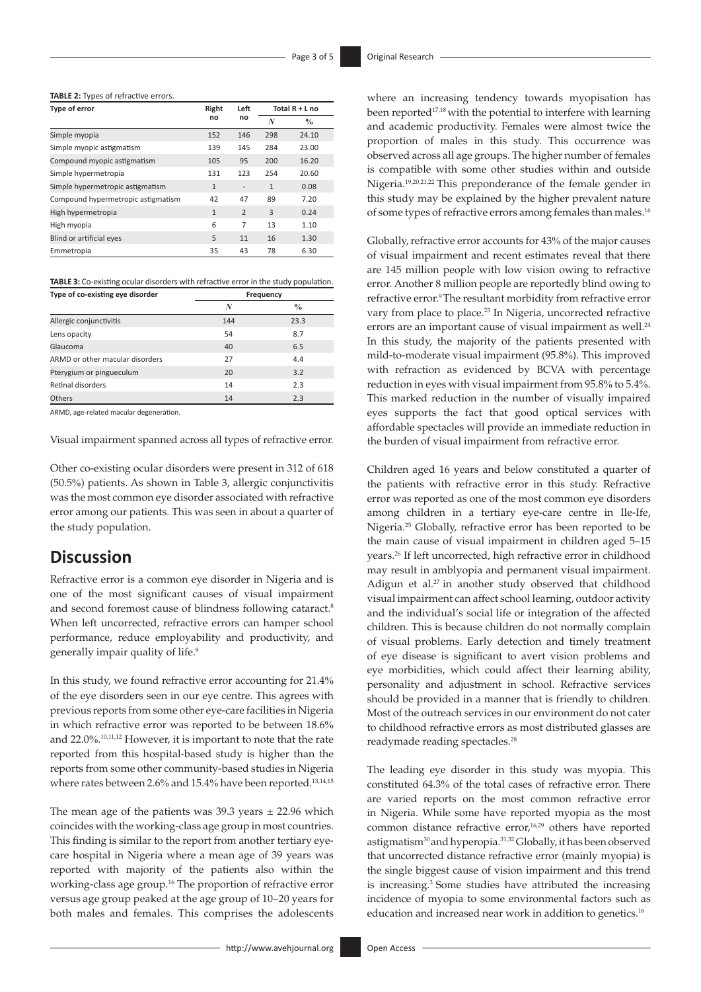#### **TABLE 2:** Types of refractive errors.

| Type of error                      | Right<br>no  | Left                     | Total $R + L$ no |               |
|------------------------------------|--------------|--------------------------|------------------|---------------|
|                                    |              | no                       | N                | $\frac{0}{0}$ |
| Simple myopia                      | 152          | 146                      | 298              | 24.10         |
| Simple myopic astigmatism          | 139          | 145                      | 284              | 23.00         |
| Compound myopic astigmatism        | 105          | 95                       | 200              | 16.20         |
| Simple hypermetropia               | 131          | 123                      | 254              | 20.60         |
| Simple hypermetropic astigmatism   | $\mathbf{1}$ | $\overline{\phantom{a}}$ | $\mathbf{1}$     | 0.08          |
| Compound hypermetropic astigmatism | 42           | 47                       | 89               | 7.20          |
| High hypermetropia                 | $\mathbf{1}$ | $\overline{2}$           | 3                | 0.24          |
| High myopia                        | 6            | 7                        | 13               | 1.10          |
| Blind or artificial eyes           | 5            | 11                       | 16               | 1.30          |
| Emmetropia                         | 35           | 43                       | 78               | 6.30          |

**TABLE 3:** Co-existing ocular disorders with refractive error in the study population.

| Type of co-existing eye disorder | Frequency |               |  |  |
|----------------------------------|-----------|---------------|--|--|
|                                  | N         | $\frac{0}{0}$ |  |  |
| Allergic conjunctivitis          | 144       | 23.3          |  |  |
| Lens opacity                     | 54        | 8.7           |  |  |
| Glaucoma                         | 40        | 6.5           |  |  |
| ARMD or other macular disorders  | 27        | 4.4           |  |  |
| Pterygium or pingueculum         | 20        | 3.2           |  |  |
| Retinal disorders                | 14        | 2.3           |  |  |
| Others                           | 14        | 2.3           |  |  |

ARMD, age-related macular degeneration.

Visual impairment spanned across all types of refractive error.

Other co-existing ocular disorders were present in 312 of 618 (50.5%) patients. As shown in Table 3, allergic conjunctivitis was the most common eye disorder associated with refractive error among our patients. This was seen in about a quarter of the study population.

### **Discussion**

Refractive error is a common eye disorder in Nigeria and is one of the most significant causes of visual impairment and second foremost cause of blindness following cataract.<sup>8</sup> When left uncorrected, refractive errors can hamper school performance, reduce employability and productivity, and generally impair quality of life.9

In this study, we found refractive error accounting for 21.4% of the eye disorders seen in our eye centre. This agrees with previous reports from some other eye-care facilities in Nigeria in which refractive error was reported to be between 18.6% and 22.0%. 10,11,12 However, it is important to note that the rate reported from this hospital-based study is higher than the reports from some other community-based studies in Nigeria where rates between 2.6% and 15.4% have been reported.<sup>13,14,15</sup>

The mean age of the patients was  $39.3$  years  $\pm 22.96$  which coincides with the working-class age group in most countries. This finding is similar to the report from another tertiary eyecare hospital in Nigeria where a mean age of 39 years was reported with majority of the patients also within the working-class age group.16 The proportion of refractive error versus age group peaked at the age group of 10–20 years for both males and females. This comprises the adolescents

where an increasing tendency towards myopisation has been reported<sup>17,18</sup> with the potential to interfere with learning and academic productivity. Females were almost twice the proportion of males in this study. This occurrence was observed across all age groups. The higher number of females is compatible with some other studies within and outside Nigeria.19,20,21,22 This preponderance of the female gender in this study may be explained by the higher prevalent nature of some types of refractive errors among females than males.16

Globally, refractive error accounts for 43% of the major causes of visual impairment and recent estimates reveal that there are 145 million people with low vision owing to refractive error. Another 8 million people are reportedly blind owing to refractive error.<sup>9</sup> The resultant morbidity from refractive error vary from place to place.<sup>23</sup> In Nigeria, uncorrected refractive errors are an important cause of visual impairment as well.<sup>24</sup> In this study, the majority of the patients presented with mild-to-moderate visual impairment (95.8%). This improved with refraction as evidenced by BCVA with percentage reduction in eyes with visual impairment from 95.8% to 5.4%. This marked reduction in the number of visually impaired eyes supports the fact that good optical services with affordable spectacles will provide an immediate reduction in the burden of visual impairment from refractive error.

Children aged 16 years and below constituted a quarter of the patients with refractive error in this study. Refractive error was reported as one of the most common eye disorders among children in a tertiary eye-care centre in Ile-Ife, Nigeria.25 Globally, refractive error has been reported to be the main cause of visual impairment in children aged 5–15 years.26 If left uncorrected, high refractive error in childhood may result in amblyopia and permanent visual impairment. Adigun et al.<sup>27</sup> in another study observed that childhood visual impairment can affect school learning, outdoor activity and the individual's social life or integration of the affected children. This is because children do not normally complain of visual problems. Early detection and timely treatment of eye disease is significant to avert vision problems and eye morbidities, which could affect their learning ability, personality and adjustment in school. Refractive services should be provided in a manner that is friendly to children. Most of the outreach services in our environment do not cater to childhood refractive errors as most distributed glasses are readymade reading spectacles.28

The leading eye disorder in this study was myopia. This constituted 64.3% of the total cases of refractive error. There are varied reports on the most common refractive error in Nigeria. While some have reported myopia as the most common distance refractive error,<sup>16,29</sup> others have reported astigmatism30 and hyperopia.31,32 Globally, it has been observed that uncorrected distance refractive error (mainly myopia) is the single biggest cause of vision impairment and this trend is increasing.3 Some studies have attributed the increasing incidence of myopia to some environmental factors such as education and increased near work in addition to genetics.<sup>16</sup>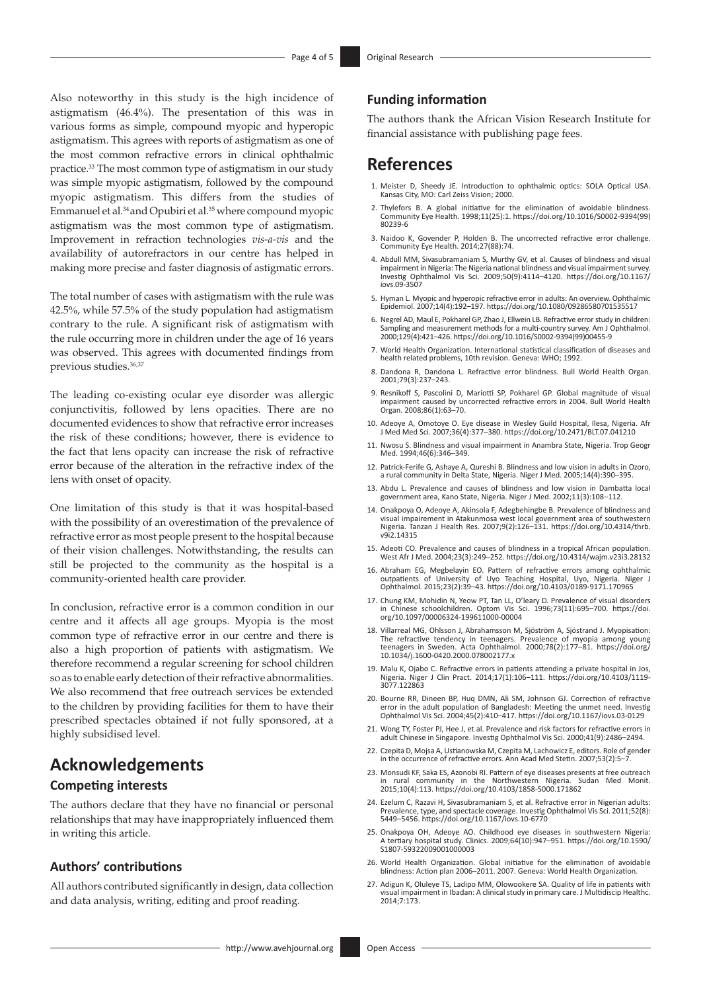Also noteworthy in this study is the high incidence of astigmatism (46.4%). The presentation of this was in various forms as simple, compound myopic and hyperopic astigmatism. This agrees with reports of astigmatism as one of the most common refractive errors in clinical ophthalmic practice.33 The most common type of astigmatism in our study was simple myopic astigmatism, followed by the compound myopic astigmatism. This differs from the studies of Emmanuel et al.<sup>34</sup> and Opubiri et al.<sup>35</sup> where compound myopic astigmatism was the most common type of astigmatism. Improvement in refraction technologies *vis-a-vis* and the availability of autorefractors in our centre has helped in making more precise and faster diagnosis of astigmatic errors.

The total number of cases with astigmatism with the rule was 42.5%, while 57.5% of the study population had astigmatism contrary to the rule. A significant risk of astigmatism with the rule occurring more in children under the age of 16 years was observed. This agrees with documented findings from previous studies.<sup>36,37</sup>

The leading co-existing ocular eye disorder was allergic conjunctivitis, followed by lens opacities. There are no documented evidences to show that refractive error increases the risk of these conditions; however, there is evidence to the fact that lens opacity can increase the risk of refractive error because of the alteration in the refractive index of the lens with onset of opacity.

One limitation of this study is that it was hospital-based with the possibility of an overestimation of the prevalence of refractive error as most people present to the hospital because of their vision challenges. Notwithstanding, the results can still be projected to the community as the hospital is a community-oriented health care provider.

In conclusion, refractive error is a common condition in our centre and it affects all age groups. Myopia is the most common type of refractive error in our centre and there is also a high proportion of patients with astigmatism. We therefore recommend a regular screening for school children so as to enable early detection of their refractive abnormalities. We also recommend that free outreach services be extended to the children by providing facilities for them to have their prescribed spectacles obtained if not fully sponsored, at a highly subsidised level.

### **Acknowledgements**

### **Competing interests**

The authors declare that they have no financial or personal relationships that may have inappropriately influenced them in writing this article.

### **Authors' contributions**

All authors contributed significantly in design, data collection and data analysis, writing, editing and proof reading.

### **Funding information**

The authors thank the African Vision Research Institute for financial assistance with publishing page fees.

### **References**

- 1. Meister D, Sheedy JE. Introduction to ophthalmic optics: SOLA Optical USA. Kansas City, MO: Carl Zeiss Vision; 2000.
- 2. Thylefors B. A global initiative for the elimination of avoidable blindness. Community Eye Health. 1998;11(25):1. [https://doi.org/10.1016/S0002-9394\(99\)](https://doi.org/10.1016/S0002-9394(99)80239-6) [80239-6](https://doi.org/10.1016/S0002-9394(99)80239-6)
- 3. Naidoo K, Govender P, Holden B. The uncorrected refractive error challenge. Community Eye Health. 2014;27(88):74.
- 4. Abdull MM, Sivasubramaniam S, Murthy GV, et al. Causes of blindness and visual impairment in Nigeria: The Nigeria national blindness and visual impairment survey. Investig Ophthalmol Vis Sci. 2009;50(9):4114–4120. [https://doi.org/10.1167/](https://doi.org/10.1167/iovs.09-3507) [iovs.09-3507](https://doi.org/10.1167/iovs.09-3507)
- 5. Hyman L. Myopic and hyperopic refractive error in adults: An overview. Ophthalmic Epidemiol. 2007;14(4):192–197. <https://doi.org/10.1080/09286580701535517>
- 6. Negrel AD, Maul E, Pokharel GP, Zhao J, Ellwein LB. Refractive error study in children: Sampling and measurement methods for a multi-country survey. Am J Ophthalmol. 2000;129(4):421–426. [https://doi.org/10.1016/S0002-9394\(99\)00455-9](https://doi.org/10.1016/S0002-9394(99)00455-9)
- 7. World Health Organization. International statistical classification of diseases and health related problems, 10th revision. Geneva: WHO; 1992.
- 8. Dandona R, Dandona L. Refractive error blindness. Bull World Health Organ. 2001;79(3):237–243.
- 9. Resnikoff S, Pascolini D, Mariotti SP, Pokharel GP. Global magnitude of visual impairment caused by uncorrected refractive errors in 2004. Bull World Health Organ. 2008;86(1):63–70.
- 10. Adeoye A, Omotoye O. Eye disease in Wesley Guild Hospital, Ilesa, Nigeria. Afr J Med Med Sci. 2007;36(4):377–380. <https://doi.org/10.2471/BLT.07.041210>
- 11. Nwosu S. Blindness and visual impairment in Anambra State, Nigeria. Trop Geogr Med. 1994;46(6):346–349.
- 12. Patrick-Ferife G, Ashaye A, Qureshi B. Blindness and low vision in adults in Ozoro, rural community in Delta State, Nigeria. Niger J Med. 2005;14(4):390-395.
- 13. Abdu L. Prevalence and causes of blindness and low vision in Dambatta local government area, Kano State, Nigeria. Niger J Med. 2002;11(3):108–112.
- 14. Onakpoya O, Adeoye A, Akinsola F, Adegbehingbe B. Prevalence of blindness and visual impairement in Atakunmosa west local government area of southwestern Nigeria. Tanzan J Health Res. 2007;9(2):126–131. [https://doi.org/10.4314/thrb.](https://doi.org/10.4314/thrb.v9i2.14315) [v9i2.14315](https://doi.org/10.4314/thrb.v9i2.14315)
- 15. Adeoti CO. Prevalence and causes of blindness in a tropical African population. West Afr J Med. 2004;23(3):249–252.<https://doi.org/10.4314/wajm.v23i3.28132>
- 16. Abraham EG, Megbelayin EO. Pattern of refractive errors among ophthalmic outpatients of University of Uyo Teaching Hospital, Uyo, Nigeria. Niger J Ophthalmol. 2015;23(2):39–43.<https://doi.org/10.4103/0189-9171.170965>
- 17. Chung KM, Mohidin N, Yeow PT, Tan LL, O'leary D. Prevalence of visual disorders in Chinese schoolchildren. Optom Vis Sci. 1996;73(11):695–700. [https://doi.](https://doi.org/10.1097/00006324-199611000-00004) [org/10.1097/00006324-199611000-00004](https://doi.org/10.1097/00006324-199611000-00004)
- 18. Villarreal MG, Ohlsson J, Abrahamsson M, Sjöström A, Sjöstrand J. Myopisation: The refractive tendency in teenagers. Prevalence of myopia among young teenagers in Sweden. Acta Ophthalmol. 2000;78(2):177–81. [https://doi.org/](https://doi.org/10.1034/j.1600-0420.2000.078002177.x) [10.1034/j.1600-0420.2000.078002177.x](https://doi.org/10.1034/j.1600-0420.2000.078002177.x)
- 19. Malu K, Ojabo C. Refractive errors in patients attending a private hospital in Jos, Nigeria. Niger J Clin Pract. 2014;17(1):106–111. [https://doi.org/10.4103/1119-](https://doi.org/10.4103/1119-3077.122863) [3077.122863](https://doi.org/10.4103/1119-3077.122863)
- 20. Bourne RR, Dineen BP, Huq DMN, Ali SM, Johnson GJ. Correction of refractive error in the adult population of Bangladesh: Meeting the unmet need. Investig error in the adult population of Bangladesh: Meeting the unmet need. Investig Ophthalmol Vis Sci. 2004;45(2):410–417. <https://doi.org/10.1167/iovs.03-0129>
- 21. Wong TY, Foster PL, Hee J, et al. Prevalence and risk factors for refractive errors in adult Chinese in Singapore. Investig Ophthalmol Vis Sci. 2000;41(9):2486–2494.
- 22. Czepita D, Mojsa A, Ustianowska M, Czepita M, Lachowicz E, editors. Role of gender in the occurrence of refractive errors. Ann Acad Med Stetin. 2007;53(2):5–7.
- 23. Monsudi KF, Saka ES, Azonobi RI. Pattern of eye diseases presents at free outreach in rural community in the Northwestern Nigeria. Sudan Med Monit. 2015;10(4):113. <https://doi.org/10.4103/1858-5000.171862>
- 24. Ezelum C, Razavi H, Sivasubramaniam S, et al. Refractive error in Nigerian adults: Prevalence, type, and spectacle coverage. Investig Ophthalmol Vis Sci. 2011;52(8): 5449–5456.<https://doi.org/10.1167/iovs.10-6770>
- 25. Onakpoya OH, Adeoye AO. Childhood eye diseases in southwestern Nigeria: A tertiary hospital study. Clinics. 2009;64(10):947–951. [https://doi.org/10.1590/](https://doi.org/10.1590/S1807-59322009001000003) [S1807-59322009001000003](https://doi.org/10.1590/S1807-59322009001000003)
- 26. World Health Organization. Global initiative for the elimination of avoidable blindness: Action plan 2006–2011. 2007. Geneva: World Health Organization.
- 27. Adigun K, Oluleye TS, Ladipo MM, Olowookere SA. Quality of life in patients with visual impairment in Ibadan: A clinical study in primary care. J Multidiscip Healthc.  $2014.7.173$